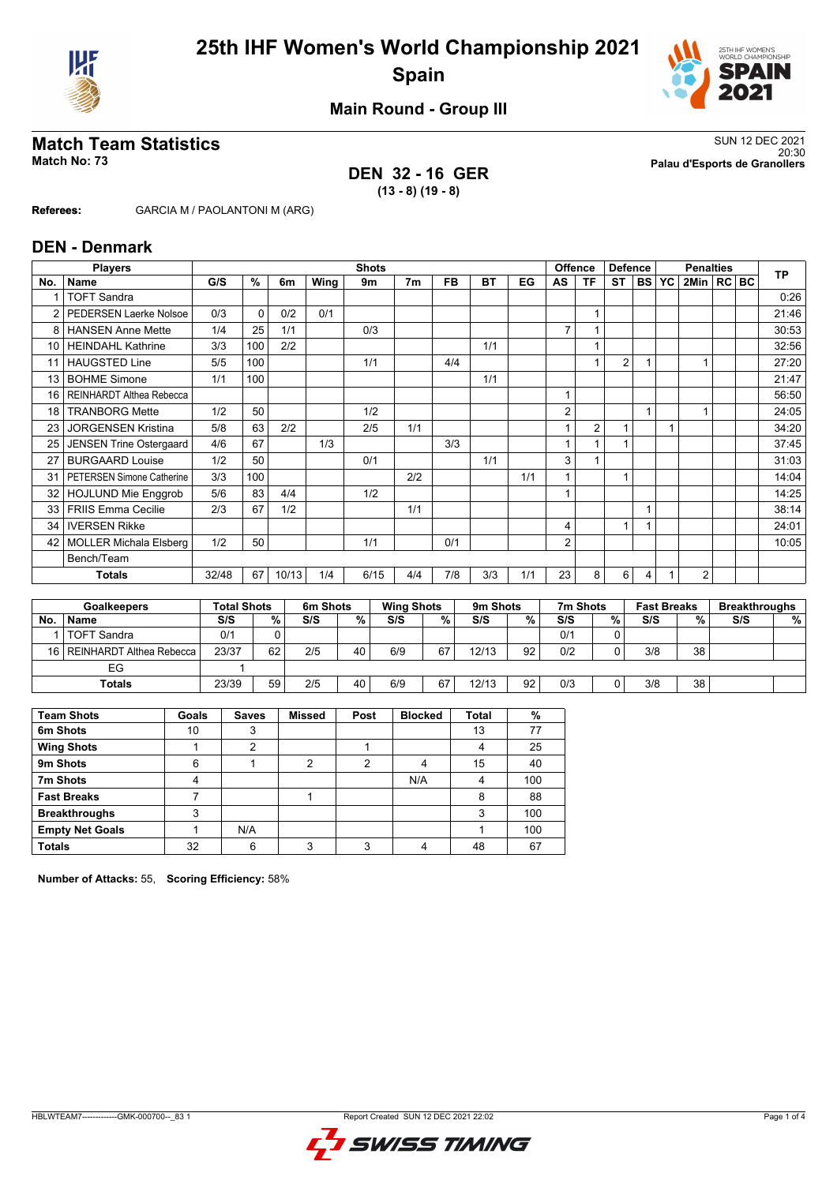



**Main Round - Group III**

## **DEN 32 - 16 GER (13 - 8) (19 - 8)**

**Match Team Statistics** SUN 12 DEC 2021 20:30 **Match No: 73 Palau d'Esports de Granollers**

**Referees:** GARCIA M / PAOLANTONI M (ARG)

#### **DEN - Denmark**

|                 | <b>Players</b>                  | <b>Shots</b> |          |       |      |      |                |           |           |     |                | <b>Offence</b> | <b>Defence</b> |           | <b>Penalties</b> |                |  |  | <b>TP</b> |
|-----------------|---------------------------------|--------------|----------|-------|------|------|----------------|-----------|-----------|-----|----------------|----------------|----------------|-----------|------------------|----------------|--|--|-----------|
| No.             | Name                            | G/S          | %        | 6m    | Wing | 9m   | 7 <sub>m</sub> | <b>FB</b> | <b>BT</b> | EG  | AS             | <b>TF</b>      | <b>ST</b>      | <b>BS</b> | <b>YC</b>        | 2Min   RC   BC |  |  |           |
|                 | <b>TOFT Sandra</b>              |              |          |       |      |      |                |           |           |     |                |                |                |           |                  |                |  |  | 0:26      |
| $\overline{2}$  | <b>PEDERSEN Laerke Nolsoe</b>   | 0/3          | $\Omega$ | 0/2   | 0/1  |      |                |           |           |     |                | 1              |                |           |                  |                |  |  | 21:46     |
| 8               | <b>HANSEN Anne Mette</b>        | 1/4          | 25       | 1/1   |      | 0/3  |                |           |           |     | $\overline{7}$ | 1              |                |           |                  |                |  |  | 30:53     |
| 10 <sup>1</sup> | <b>HEINDAHL Kathrine</b>        | 3/3          | 100      | 2/2   |      |      |                |           | 1/1       |     |                | 1              |                |           |                  |                |  |  | 32:56     |
| 11              | <b>HAUGSTED Line</b>            | 5/5          | 100      |       |      | 1/1  |                | 4/4       |           |     |                |                | $\overline{2}$ |           |                  |                |  |  | 27:20     |
| 13              | <b>BOHME Simone</b>             | 1/1          | 100      |       |      |      |                |           | 1/1       |     |                |                |                |           |                  |                |  |  | 21:47     |
| 16              | <b>REINHARDT Althea Rebecca</b> |              |          |       |      |      |                |           |           |     | 1              |                |                |           |                  |                |  |  | 56:50     |
| 18              | <b>TRANBORG Mette</b>           | 1/2          | 50       |       |      | 1/2  |                |           |           |     | 2              |                |                |           |                  |                |  |  | 24:05     |
| 23              | <b>JORGENSEN Kristina</b>       | 5/8          | 63       | 2/2   |      | 2/5  | 1/1            |           |           |     |                | $\overline{2}$ |                |           |                  |                |  |  | 34:20     |
| 25              | JENSEN Trine Ostergaard         | 4/6          | 67       |       | 1/3  |      |                | 3/3       |           |     | $\mathbf{1}$   |                |                |           |                  |                |  |  | 37:45     |
| 27              | <b>BURGAARD Louise</b>          | 1/2          | 50       |       |      | 0/1  |                |           | 1/1       |     | 3              |                |                |           |                  |                |  |  | 31:03     |
| 31              | PETERSEN Simone Catherine       | 3/3          | 100      |       |      |      | 2/2            |           |           | 1/1 |                |                |                |           |                  |                |  |  | 14:04     |
| 32              | <b>HOJLUND Mie Enggrob</b>      | 5/6          | 83       | 4/4   |      | 1/2  |                |           |           |     |                |                |                |           |                  |                |  |  | 14:25     |
| 33              | <b>FRIIS Emma Cecilie</b>       | 2/3          | 67       | 1/2   |      |      | 1/1            |           |           |     |                |                |                |           |                  |                |  |  | 38:14     |
| 34 <sub>1</sub> | <b>IVERSEN Rikke</b>            |              |          |       |      |      |                |           |           |     | 4              |                | 1              |           |                  |                |  |  | 24:01     |
| 42              | <b>MOLLER Michala Elsberg</b>   | 1/2          | 50       |       |      | 1/1  |                | 0/1       |           |     | 2              |                |                |           |                  |                |  |  | 10:05     |
|                 | Bench/Team                      |              |          |       |      |      |                |           |           |     |                |                |                |           |                  |                |  |  |           |
|                 | <b>Totals</b>                   | 32/48        | 67       | 10/13 | 1/4  | 6/15 | 4/4            | 7/8       | 3/3       | 1/1 | 23             | 8              | 6              | 4         |                  | $\overline{2}$ |  |  |           |

| <b>Goalkeepers</b> |                               | <b>Total Shots</b> |    | 6m Shots |    |     | <b>Wing Shots</b> |       | 9m Shots |     | 7m Shots |     | <b>Fast Breaks</b> |     | <b>Breakthroughs</b> |  |
|--------------------|-------------------------------|--------------------|----|----------|----|-----|-------------------|-------|----------|-----|----------|-----|--------------------|-----|----------------------|--|
| No.                | <b>Name</b>                   | S/S                | %  | S/S      | %  | S/S | %                 | S/S   | %        | S/S | %.       | S/S | %                  | S/S | %                    |  |
|                    | <b>TOFT Sandra</b>            | 0/1                |    |          |    |     |                   |       |          | 0/1 | 0        |     |                    |     |                      |  |
|                    | 16   REINHARDT Althea Rebecca | 23/37              | 62 | 2/5      | 40 | 6/9 | 67                | 12/13 | 92       | 0/2 | 0        | 3/8 | 38                 |     |                      |  |
|                    | EG                            |                    |    |          |    |     |                   |       |          |     |          |     |                    |     |                      |  |
|                    | Totals                        | 23/39              | 59 | 2/5      | 40 | 6/9 | 67                | 12/13 | 92       | 0/3 | 0        | 3/8 | 38                 |     |                      |  |

| <b>Team Shots</b>      | Goals | <b>Saves</b> | <b>Missed</b> | Post | <b>Blocked</b> | <b>Total</b> | %   |
|------------------------|-------|--------------|---------------|------|----------------|--------------|-----|
| 6m Shots               | 10    | 3            |               |      |                | 13           | 77  |
| <b>Wing Shots</b>      |       | 2            |               |      |                | 4            | 25  |
| 9m Shots               | 6     |              | 2             | າ    |                | 15           | 40  |
| 7m Shots               | 4     |              |               |      | N/A            | 4            | 100 |
| <b>Fast Breaks</b>     |       |              |               |      |                | 8            | 88  |
| <b>Breakthroughs</b>   | 3     |              |               |      |                | 3            | 100 |
| <b>Empty Net Goals</b> |       | N/A          |               |      |                |              | 100 |
| <b>Totals</b>          | 32    | 6            | っ             |      |                | 48           | 67  |

**Number of Attacks:** 55, **Scoring Efficiency:** 58%

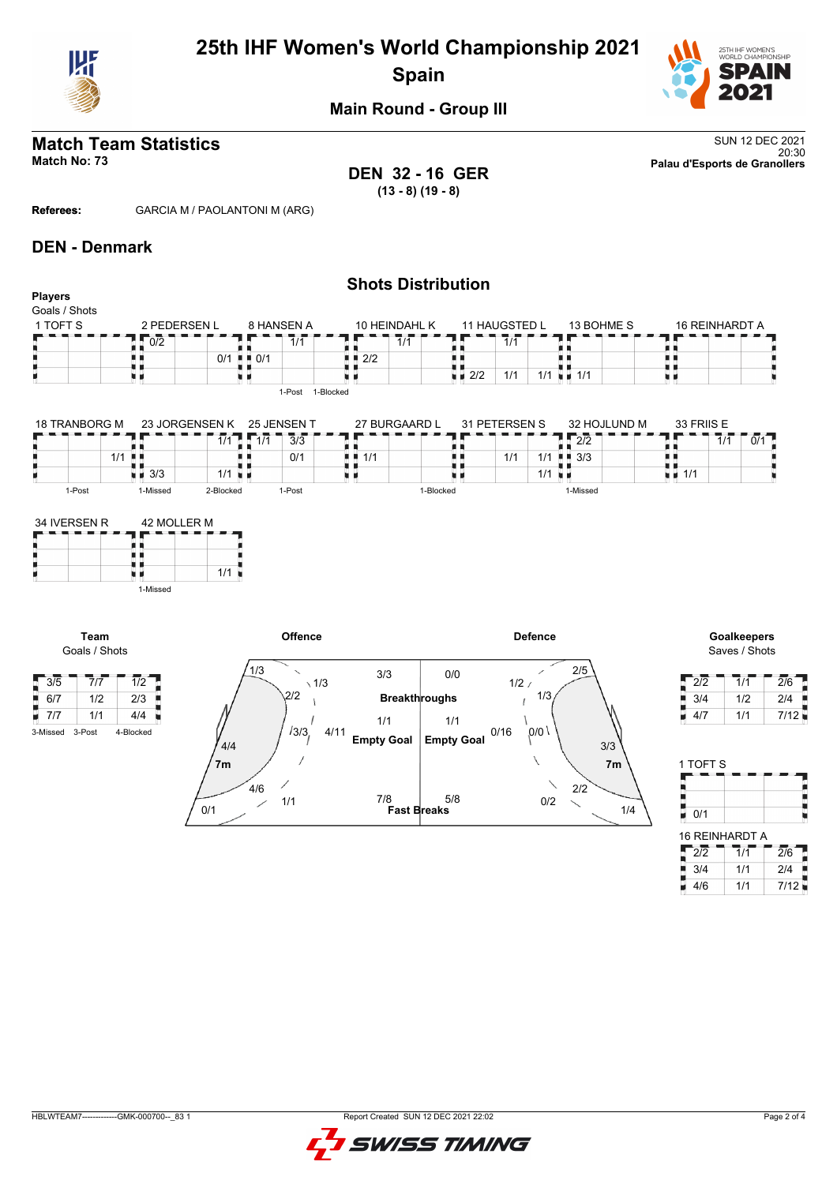

# **25th IHF Women's World Championship 2021 Spain**



**Main Round - Group III**

# **Match Team Statistics** SUN 12 DEC 2021

**DEN 32 - 16 GER (13 - 8) (19 - 8)**

20:30 **Match No: 73 Palau d'Esports de Granollers**

**Referees:** GARCIA M / PAOLANTONI M (ARG)

### **DEN - Denmark**

#### **Shots Distribution Players** Goals / Shots 1 TOFT S 2 PEDERSEN L 8 HANSEN A 11 HAUGSTED L 10 HEINDAHL K 13 BOHME S 16 REINHARDT A  $7 - \frac{1}{2}$ 0/1 i F ۲F п п 1/1  $7/1$  $7/1$  $\frac{1}{2}$ <br> $\frac{1}{2}$ <br> $\frac{2}{2}$ A R R, R R H 0/1 真真 机机 H)  $\frac{1}{1/1}$   $\frac{1}{1}$   $\frac{1}{1/1}$  $\frac{1}{2}$  2/2 1/1 u e u n υø 1-Post 1-Blocked **18 TRANBORG M** 27 BURGAARD L  $\alpha$ <sub>1</sub>  $\alpha$ <sub>peter</sub>sent s  $\sim$   $\sim$   $\sim$   $\sim$   $\sim$   $\sim$   $\sim$  $33 F$ 23 JORGENSEN K 25 JENSEN T

| 18 TRANBORG M |          | -23 JORGENSEN K               | -25 JENSEN I | 27 BURGAARD L |           | 31 PETERSEN S       | 32 HOJLUND M | 33 FRIIS E |     |
|---------------|----------|-------------------------------|--------------|---------------|-----------|---------------------|--------------|------------|-----|
|               |          | $\overline{A}$ $\overline{A}$ | 3/3          |               |           |                     | 010<br>ے رے  | 111        | 0/1 |
| 1/1           |          |                               | 0/1          | I∎ 1/1        |           | 111<br>$\mathbf{1}$ | 3/3<br>.     |            |     |
|               | 3/3      | A 1 A                         |              |               |           |                     |              | 1/1        |     |
| -Post         | 1-Missed | 2-Blocked                     | 1-Post       |               | i-Blocked |                     | 1-Missed     |            |     |



**Team** Goals / Shots





| 2/2 | 1/1 | 2/6  |
|-----|-----|------|
| 3/4 | 1/2 | 2/4  |
| 4/7 | 1/1 | 7/12 |

| 1 TOFT S              |                  |                  |  |
|-----------------------|------------------|------------------|--|
|                       |                  |                  |  |
| 0/1                   |                  |                  |  |
| <b>16 REINHARDT A</b> |                  |                  |  |
| $2\sqrt{2}$           | $\overline{1/1}$ | $\overline{2}/6$ |  |
|                       |                  | 2/4              |  |

 $4/6$   $1/1$   $7/12$ 

| HBLWTEAM7-------------GMK-000700-- 83 1 |  |
|-----------------------------------------|--|
|                                         |  |

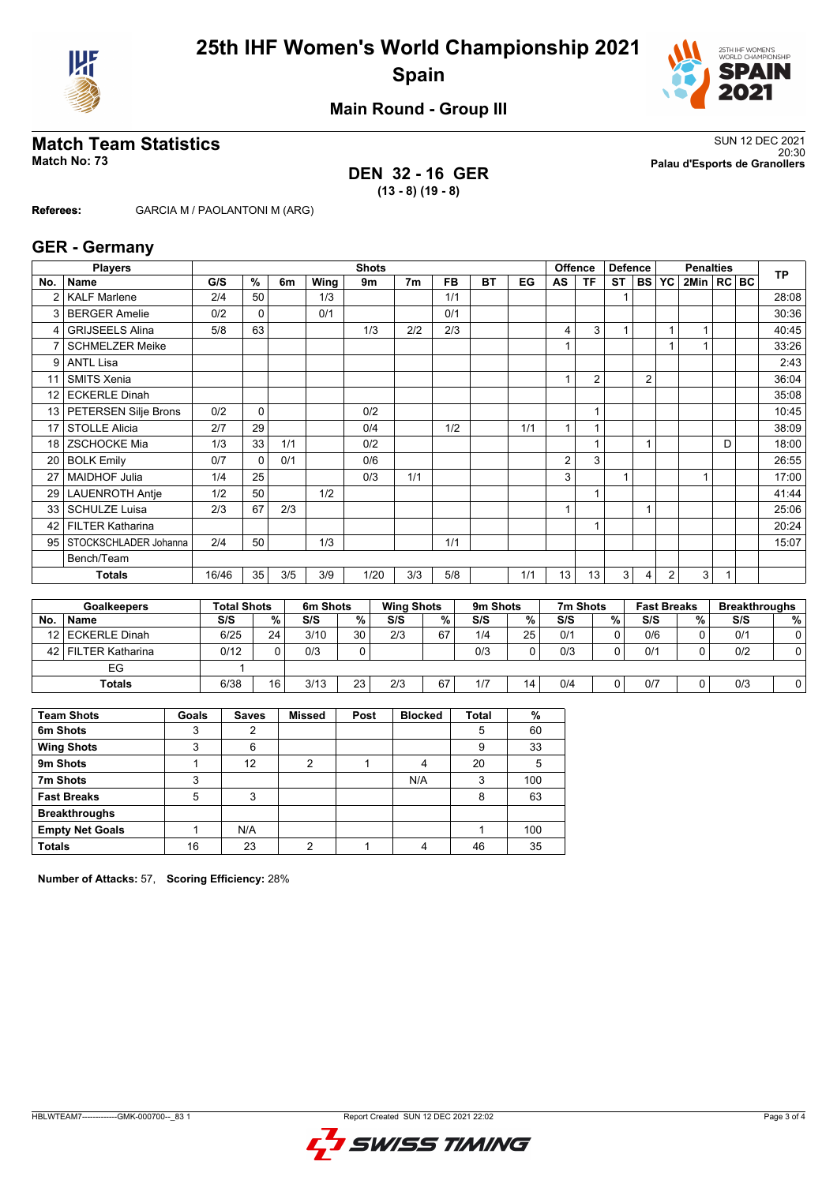



**Main Round - Group III**

### **DEN 32 - 16 GER (13 - 8) (19 - 8)**

**Match Team Statistics** SUN 12 DEC 2021 20:30 **Match No: 73 Palau d'Esports de Granollers**

**Referees:** GARCIA M / PAOLANTONI M (ARG)

#### **GER - Germany**

|                 | <b>Players</b>          |       |                    |      | <b>Shots</b> | <b>Offence</b> |      |                   |                 |           | <b>Defence</b>  |     | <b>Penalties</b> |                |                |                    | <b>TP</b>      |              |     |                      |
|-----------------|-------------------------|-------|--------------------|------|--------------|----------------|------|-------------------|-----------------|-----------|-----------------|-----|------------------|----------------|----------------|--------------------|----------------|--------------|-----|----------------------|
| No.             | Name                    | G/S   | $\frac{9}{6}$      | 6m   | Wing         |                | 9m   | 7 <sub>m</sub>    | <b>FB</b>       | <b>BT</b> | EG              | AS  | <b>TF</b>        | <b>ST</b>      | <b>BS</b>      | <b>YC</b>          | 2Min   RC   BC |              |     |                      |
| $\overline{2}$  | <b>KALF Marlene</b>     | 2/4   | 50                 |      | 1/3          |                |      |                   | 1/1             |           |                 |     |                  |                |                |                    |                |              |     | 28:08                |
| 3               | <b>BERGER Amelie</b>    | 0/2   | $\Omega$           |      | 0/1          |                |      |                   | 0/1             |           |                 |     |                  |                |                |                    |                |              |     | 30:36                |
| 4               | <b>GRIJSEELS Alina</b>  | 5/8   | 63                 |      |              |                | 1/3  | 2/2               | 2/3             |           |                 | 4   | 3                | $\overline{1}$ |                | 1                  |                |              |     | 40:45                |
|                 | <b>SCHMELZER Meike</b>  |       |                    |      |              |                |      |                   |                 |           |                 |     |                  |                |                |                    |                |              |     | 33:26                |
| 9               | <b>ANTL Lisa</b>        |       |                    |      |              |                |      |                   |                 |           |                 |     |                  |                |                |                    |                |              |     | 2:43                 |
| 11              | <b>SMITS Xenia</b>      |       |                    |      |              |                |      |                   |                 |           |                 |     | $\overline{2}$   |                | $\overline{2}$ |                    |                |              |     | 36:04                |
| 12 <sup>2</sup> | <b>ECKERLE Dinah</b>    |       |                    |      |              |                |      |                   |                 |           |                 |     |                  |                |                |                    |                |              |     | 35:08                |
| 13              | PETERSEN Silje Brons    | 0/2   | $\mathbf 0$        |      |              |                | 0/2  |                   |                 |           |                 |     | 1                |                |                |                    |                |              |     | 10:45                |
| 17              | <b>STOLLE Alicia</b>    | 2/7   | 29                 |      |              |                | 0/4  |                   | 1/2             |           | 1/1             |     |                  |                |                |                    |                |              |     | 38:09                |
| 18              | <b>ZSCHOCKE Mia</b>     | 1/3   | 33                 | 1/1  |              |                | 0/2  |                   |                 |           |                 |     |                  |                |                |                    |                | D            |     | 18:00                |
| 20              | <b>BOLK Emily</b>       | 0/7   | $\Omega$           | 0/1  |              |                | 0/6  |                   |                 |           |                 | 2   | 3                |                |                |                    |                |              |     | 26:55                |
| 27              | <b>MAIDHOF Julia</b>    | 1/4   | 25                 |      |              |                | 0/3  | 1/1               |                 |           |                 | 3   |                  | 1              |                |                    |                |              |     | 17:00                |
| 29              | <b>LAUENROTH Antie</b>  | 1/2   | 50                 |      | 1/2          |                |      |                   |                 |           |                 |     | 1                |                |                |                    |                |              |     | 41:44                |
| 33              | <b>SCHULZE Luisa</b>    | 2/3   | 67                 | 2/3  |              |                |      |                   |                 |           |                 |     |                  |                |                |                    |                |              |     | 25:06                |
| 42              | <b>FILTER Katharina</b> |       |                    |      |              |                |      |                   |                 |           |                 |     |                  |                |                |                    |                |              |     | 20:24                |
| 95              | STOCKSCHLADER Johanna   | 2/4   | 50                 |      | 1/3          |                |      |                   | 1/1             |           |                 |     |                  |                |                |                    |                |              |     | 15:07                |
|                 | Bench/Team              |       |                    |      |              |                |      |                   |                 |           |                 |     |                  |                |                |                    |                |              |     |                      |
|                 | <b>Totals</b>           | 16/46 | 35                 | 3/5  | 3/9          |                | 1/20 | 3/3               | 5/8             |           | 1/1             | 13  | 13               | 3              | 4              | $\overline{2}$     | 3              | $\mathbf{1}$ |     |                      |
|                 |                         |       |                    |      |              |                |      |                   |                 |           |                 |     |                  |                |                |                    |                |              |     |                      |
|                 | <b>Goalkeepers</b>      |       | <b>Total Shots</b> |      | 6m Shots     |                |      | <b>Wing Shots</b> |                 | 9m Shots  |                 |     | 7m Shots         |                |                | <b>Fast Breaks</b> |                |              |     | <b>Breakthroughs</b> |
| No.             | <b>Name</b>             | S/S   |                    | $\%$ | S/S          | $\%$           |      | S/S               | $\overline{\%}$ | S/S       | $\overline{\%}$ | S/S |                  | %              | S/S            |                    | %              |              | S/S | $\%$                 |

| NO.             | name               | <i><b>וכ</b></i> | 7٥ | 313  | 70 | 313 | 70. | 313 | 70 | 313 | 70          | בוב | 70 | 313 | <b>70</b> |
|-----------------|--------------------|------------------|----|------|----|-----|-----|-----|----|-----|-------------|-----|----|-----|-----------|
| 12 <sup>1</sup> | ECKERLE Dinah      | 6/25             | 24 | 3/10 | 30 | 2/3 | 67  | 1/4 | 25 | 0/1 | $\cap$<br>v | 0/6 |    | 0/1 | $\sim$    |
| 42              | l FILTER Katharina | 0/12             | 0  | 0/3  |    |     |     | 0/3 |    | 0/3 | 0           | 0/1 |    | 0/2 |           |
|                 | EG                 |                  |    |      |    |     |     |     |    |     |             |     |    |     |           |
|                 | <b>Totals</b>      | 6/38             | 16 | 3/13 | 23 | 2/3 | 67  | 1/7 | 14 | 0/4 | 0           | 0/7 |    | 0/3 |           |
|                 |                    |                  |    |      |    |     |     |     |    |     |             |     |    |     |           |

| <b>Team Shots</b>      | Goals | <b>Saves</b> | <b>Missed</b> | Post | <b>Blocked</b> | <b>Total</b> | %   |
|------------------------|-------|--------------|---------------|------|----------------|--------------|-----|
| 6m Shots               | 3     | 2            |               |      |                | 5            | 60  |
| <b>Wing Shots</b>      | 3     | 6            |               |      |                | 9            | 33  |
| 9m Shots               |       | 12           | 2             |      | 4              | 20           | 5   |
| 7m Shots               | 3     |              |               |      | N/A            | 3            | 100 |
| <b>Fast Breaks</b>     | 5     | 3            |               |      |                | 8            | 63  |
| <b>Breakthroughs</b>   |       |              |               |      |                |              |     |
| <b>Empty Net Goals</b> |       | N/A          |               |      |                |              | 100 |
| <b>Totals</b>          | 16    | 23           | っ             |      | Λ              | 46           | 35  |

**Number of Attacks:** 57, **Scoring Efficiency:** 28%